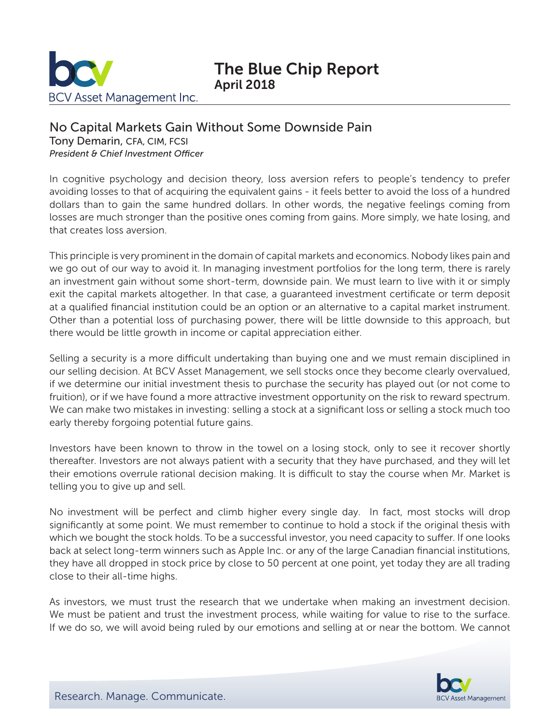

## No Capital Markets Gain Without Some Downside Pain

Tony Demarin, CFA, CIM, FCSI *President & Chief Investment Officer*

In cognitive psychology and decision theory, loss aversion refers to people's tendency to prefer avoiding losses to that of acquiring the equivalent gains - it feels better to avoid the loss of a hundred dollars than to gain the same hundred dollars. In other words, the negative feelings coming from losses are much stronger than the positive ones coming from gains. More simply, we hate losing, and that creates loss aversion.

This principle is very prominent in the domain of capital markets and economics. Nobody likes pain and we go out of our way to avoid it. In managing investment portfolios for the long term, there is rarely an investment gain without some short-term, downside pain. We must learn to live with it or simply exit the capital markets altogether. In that case, a guaranteed investment certificate or term deposit at a qualified financial institution could be an option or an alternative to a capital market instrument. Other than a potential loss of purchasing power, there will be little downside to this approach, but there would be little growth in income or capital appreciation either.

Selling a security is a more difficult undertaking than buying one and we must remain disciplined in our selling decision. At BCV Asset Management, we sell stocks once they become clearly overvalued, if we determine our initial investment thesis to purchase the security has played out (or not come to fruition), or if we have found a more attractive investment opportunity on the risk to reward spectrum. We can make two mistakes in investing: selling a stock at a significant loss or selling a stock much too early thereby forgoing potential future gains.

Investors have been known to throw in the towel on a losing stock, only to see it recover shortly thereafter. Investors are not always patient with a security that they have purchased, and they will let their emotions overrule rational decision making. It is difficult to stay the course when Mr. Market is telling you to give up and sell.

No investment will be perfect and climb higher every single day. In fact, most stocks will drop significantly at some point. We must remember to continue to hold a stock if the original thesis with which we bought the stock holds. To be a successful investor, you need capacity to suffer. If one looks back at select long-term winners such as Apple Inc. or any of the large Canadian financial institutions, they have all dropped in stock price by close to 50 percent at one point, yet today they are all trading close to their all-time highs.

As investors, we must trust the research that we undertake when making an investment decision. We must be patient and trust the investment process, while waiting for value to rise to the surface. If we do so, we will avoid being ruled by our emotions and selling at or near the bottom. We cannot

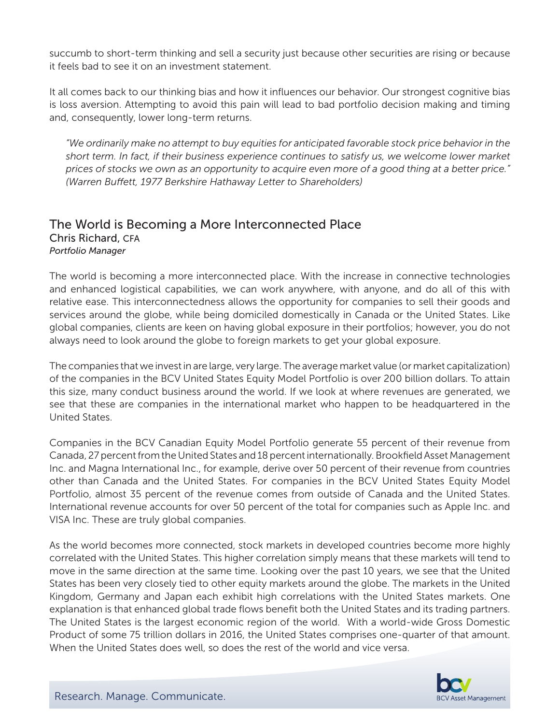succumb to short-term thinking and sell a security just because other securities are rising or because it feels bad to see it on an investment statement.

It all comes back to our thinking bias and how it influences our behavior. Our strongest cognitive bias is loss aversion. Attempting to avoid this pain will lead to bad portfolio decision making and timing and, consequently, lower long-term returns.

*"We ordinarily make no attempt to buy equities for anticipated favorable stock price behavior in the short term. In fact, if their business experience continues to satisfy us, we welcome lower market prices of stocks we own as an opportunity to acquire even more of a good thing at a better price." (Warren Buffett, 1977 Berkshire Hathaway Letter to Shareholders)*

## The World is Becoming a More Interconnected Place Chris Richard, CFA *Portfolio Manager*

The world is becoming a more interconnected place. With the increase in connective technologies and enhanced logistical capabilities, we can work anywhere, with anyone, and do all of this with relative ease. This interconnectedness allows the opportunity for companies to sell their goods and services around the globe, while being domiciled domestically in Canada or the United States. Like global companies, clients are keen on having global exposure in their portfolios; however, you do not always need to look around the globe to foreign markets to get your global exposure.

The companies that we invest in are large, very large. The average market value (or market capitalization) of the companies in the BCV United States Equity Model Portfolio is over 200 billion dollars. To attain this size, many conduct business around the world. If we look at where revenues are generated, we see that these are companies in the international market who happen to be headquartered in the United States.

Companies in the BCV Canadian Equity Model Portfolio generate 55 percent of their revenue from Canada, 27 percent from the United States and 18 percent internationally. Brookfield Asset Management Inc. and Magna International Inc., for example, derive over 50 percent of their revenue from countries other than Canada and the United States. For companies in the BCV United States Equity Model Portfolio, almost 35 percent of the revenue comes from outside of Canada and the United States. International revenue accounts for over 50 percent of the total for companies such as Apple Inc. and VISA Inc. These are truly global companies.

As the world becomes more connected, stock markets in developed countries become more highly correlated with the United States. This higher correlation simply means that these markets will tend to move in the same direction at the same time. Looking over the past 10 years, we see that the United States has been very closely tied to other equity markets around the globe. The markets in the United Kingdom, Germany and Japan each exhibit high correlations with the United States markets. One explanation is that enhanced global trade flows benefit both the United States and its trading partners. The United States is the largest economic region of the world. With a world-wide Gross Domestic Product of some 75 trillion dollars in 2016, the United States comprises one-quarter of that amount. When the United States does well, so does the rest of the world and vice versa.

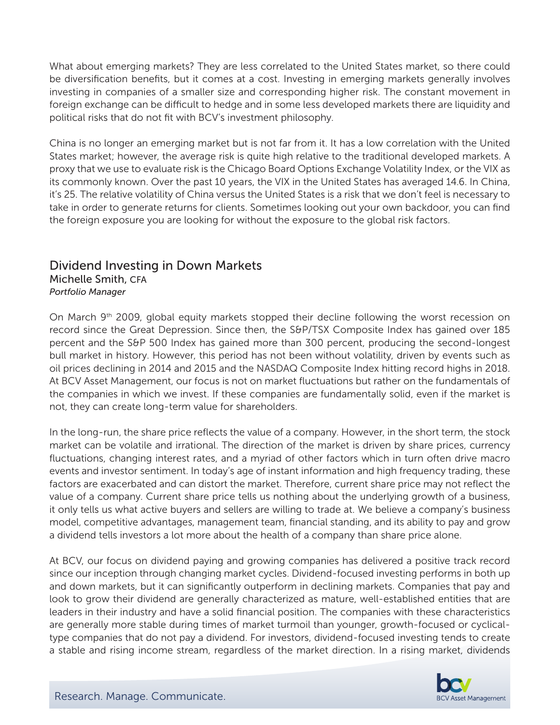What about emerging markets? They are less correlated to the United States market, so there could be diversification benefits, but it comes at a cost. Investing in emerging markets generally involves investing in companies of a smaller size and corresponding higher risk. The constant movement in foreign exchange can be difficult to hedge and in some less developed markets there are liquidity and political risks that do not fit with BCV's investment philosophy.

China is no longer an emerging market but is not far from it. It has a low correlation with the United States market; however, the average risk is quite high relative to the traditional developed markets. A proxy that we use to evaluate risk is the Chicago Board Options Exchange Volatility Index, or the VIX as its commonly known. Over the past 10 years, the VIX in the United States has averaged 14.6. In China, it's 25. The relative volatility of China versus the United States is a risk that we don't feel is necessary to take in order to generate returns for clients. Sometimes looking out your own backdoor, you can find the foreign exposure you are looking for without the exposure to the global risk factors.

## Dividend Investing in Down Markets

Michelle Smith, CFA *Portfolio Manager*

On March 9<sup>th</sup> 2009, global equity markets stopped their decline following the worst recession on record since the Great Depression. Since then, the S&P/TSX Composite Index has gained over 185 percent and the S&P 500 Index has gained more than 300 percent, producing the second-longest bull market in history. However, this period has not been without volatility, driven by events such as oil prices declining in 2014 and 2015 and the NASDAQ Composite Index hitting record highs in 2018. At BCV Asset Management, our focus is not on market fluctuations but rather on the fundamentals of the companies in which we invest. If these companies are fundamentally solid, even if the market is not, they can create long-term value for shareholders.

In the long-run, the share price reflects the value of a company. However, in the short term, the stock market can be volatile and irrational. The direction of the market is driven by share prices, currency fluctuations, changing interest rates, and a myriad of other factors which in turn often drive macro events and investor sentiment. In today's age of instant information and high frequency trading, these factors are exacerbated and can distort the market. Therefore, current share price may not reflect the value of a company. Current share price tells us nothing about the underlying growth of a business, it only tells us what active buyers and sellers are willing to trade at. We believe a company's business model, competitive advantages, management team, financial standing, and its ability to pay and grow a dividend tells investors a lot more about the health of a company than share price alone.

At BCV, our focus on dividend paying and growing companies has delivered a positive track record since our inception through changing market cycles. Dividend-focused investing performs in both up and down markets, but it can significantly outperform in declining markets. Companies that pay and look to grow their dividend are generally characterized as mature, well-established entities that are leaders in their industry and have a solid financial position. The companies with these characteristics are generally more stable during times of market turmoil than younger, growth-focused or cyclicaltype companies that do not pay a dividend. For investors, dividend-focused investing tends to create a stable and rising income stream, regardless of the market direction. In a rising market, dividends